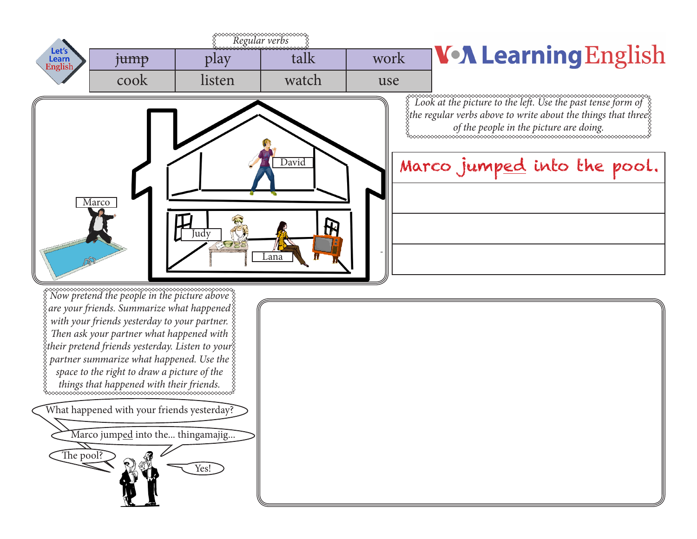